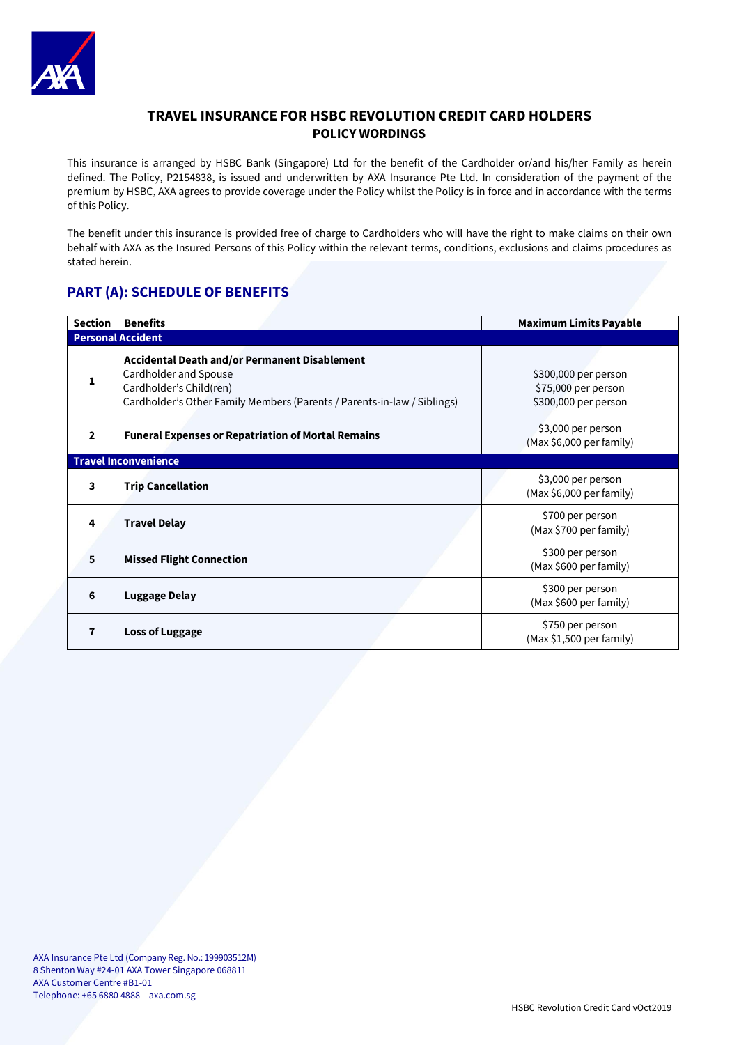

# **TRAVEL INSURANCE FOR HSBC REVOLUTION CREDIT CARD HOLDERS POLICY WORDINGS**

This insurance is arranged by HSBC Bank (Singapore) Ltd for the benefit of the Cardholder or/and his/her Family as herein defined. The Policy, P2154838, is issued and underwritten by AXA Insurance Pte Ltd. In consideration of the payment of the premium by HSBC, AXA agrees to provide coverage under the Policy whilst the Policy is in force and in accordance with the terms of this Policy.

The benefit under this insurance is provided free of charge to Cardholders who will have the right to make claims on their own behalf with AXA as the Insured Persons of this Policy within the relevant terms, conditions, exclusions and claims procedures as stated herein.

# **PART (A): SCHEDULE OF BENEFITS**

| <b>Section</b>              | <b>Benefits</b>                                                                                                                                                                     | <b>Maximum Limits Payable</b>                                       |  |  |
|-----------------------------|-------------------------------------------------------------------------------------------------------------------------------------------------------------------------------------|---------------------------------------------------------------------|--|--|
| <b>Personal Accident</b>    |                                                                                                                                                                                     |                                                                     |  |  |
| 1                           | <b>Accidental Death and/or Permanent Disablement</b><br>Cardholder and Spouse<br>Cardholder's Child(ren)<br>Cardholder's Other Family Members (Parents / Parents-in-law / Siblings) | \$300,000 per person<br>\$75,000 per person<br>\$300,000 per person |  |  |
| $\mathbf{2}$                | <b>Funeral Expenses or Repatriation of Mortal Remains</b>                                                                                                                           | \$3,000 per person<br>(Max \$6,000 per family)                      |  |  |
| <b>Travel Inconvenience</b> |                                                                                                                                                                                     |                                                                     |  |  |
| 3                           | <b>Trip Cancellation</b>                                                                                                                                                            | \$3,000 per person<br>(Max \$6,000 per family)                      |  |  |
| 4                           | <b>Travel Delay</b>                                                                                                                                                                 | \$700 per person<br>(Max \$700 per family)                          |  |  |
| 5                           | <b>Missed Flight Connection</b>                                                                                                                                                     | \$300 per person<br>(Max \$600 per family)                          |  |  |
| 6                           | <b>Luggage Delay</b>                                                                                                                                                                | \$300 per person<br>(Max \$600 per family)                          |  |  |
| 7                           | <b>Loss of Luggage</b>                                                                                                                                                              | \$750 per person<br>(Max \$1,500 per family)                        |  |  |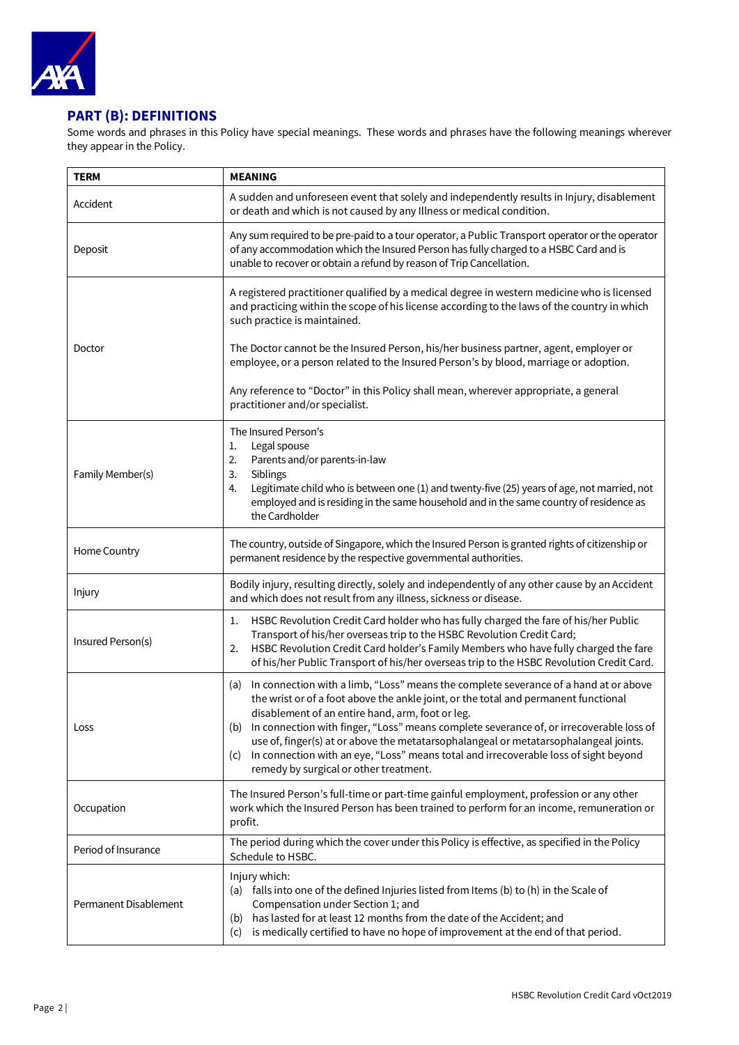

# **PART (B): DEFINITIONS**

Some words and phrases in this Policy have special meanings. These words and phrases have the following meanings wherever they appear in the Policy.

| <b>TERM</b>           | <b>MEANING</b>                                                                                                                                                                                                                                                                                                                                                                                                                                                                                                                                                         |
|-----------------------|------------------------------------------------------------------------------------------------------------------------------------------------------------------------------------------------------------------------------------------------------------------------------------------------------------------------------------------------------------------------------------------------------------------------------------------------------------------------------------------------------------------------------------------------------------------------|
| Accident              | A sudden and unforeseen event that solely and independently results in Injury, disablement<br>or death and which is not caused by any Illness or medical condition.                                                                                                                                                                                                                                                                                                                                                                                                    |
| Deposit               | Any sum required to be pre-paid to a tour operator, a Public Transport operator or the operator<br>of any accommodation which the Insured Person has fully charged to a HSBC Card and is<br>unable to recover or obtain a refund by reason of Trip Cancellation.                                                                                                                                                                                                                                                                                                       |
|                       | A registered practitioner qualified by a medical degree in western medicine who is licensed<br>and practicing within the scope of his license according to the laws of the country in which<br>such practice is maintained.                                                                                                                                                                                                                                                                                                                                            |
| Doctor                | The Doctor cannot be the Insured Person, his/her business partner, agent, employer or<br>employee, or a person related to the Insured Person's by blood, marriage or adoption.                                                                                                                                                                                                                                                                                                                                                                                         |
|                       | Any reference to "Doctor" in this Policy shall mean, wherever appropriate, a general<br>practitioner and/or specialist.                                                                                                                                                                                                                                                                                                                                                                                                                                                |
| Family Member(s)      | The Insured Person's<br>Legal spouse<br>1.<br>2.<br>Parents and/or parents-in-law<br>3.<br>Siblings<br>Legitimate child who is between one (1) and twenty-five (25) years of age, not married, not<br>4.                                                                                                                                                                                                                                                                                                                                                               |
|                       | employed and is residing in the same household and in the same country of residence as<br>the Cardholder                                                                                                                                                                                                                                                                                                                                                                                                                                                               |
| Home Country          | The country, outside of Singapore, which the Insured Person is granted rights of citizenship or<br>permanent residence by the respective governmental authorities.                                                                                                                                                                                                                                                                                                                                                                                                     |
| Injury                | Bodily injury, resulting directly, solely and independently of any other cause by an Accident<br>and which does not result from any illness, sickness or disease.                                                                                                                                                                                                                                                                                                                                                                                                      |
| Insured Person(s)     | HSBC Revolution Credit Card holder who has fully charged the fare of his/her Public<br>1.<br>Transport of his/her overseas trip to the HSBC Revolution Credit Card;<br>HSBC Revolution Credit Card holder's Family Members who have fully charged the fare<br>2.<br>of his/her Public Transport of his/her overseas trip to the HSBC Revolution Credit Card.                                                                                                                                                                                                           |
| Loss                  | In connection with a limb, "Loss" means the complete severance of a hand at or above<br>(a)<br>the wrist or of a foot above the ankle joint, or the total and permanent functional<br>disablement of an entire hand, arm, foot or leg.<br>(b) In connection with finger, "Loss" means complete severance of, or irrecoverable loss of<br>use of, finger(s) at or above the metatarsophalangeal or metatarsophalangeal joints.<br>In connection with an eye, "Loss" means total and irrecoverable loss of sight beyond<br>(C)<br>remedy by surgical or other treatment. |
| Occupation            | The Insured Person's full-time or part-time gainful employment, profession or any other<br>work which the Insured Person has been trained to perform for an income, remuneration or<br>profit.                                                                                                                                                                                                                                                                                                                                                                         |
| Period of Insurance   | The period during which the cover under this Policy is effective, as specified in the Policy<br>Schedule to HSBC.                                                                                                                                                                                                                                                                                                                                                                                                                                                      |
| Permanent Disablement | Injury which:<br>(a) falls into one of the defined Injuries listed from Items (b) to (h) in the Scale of<br>Compensation under Section 1; and<br>has lasted for at least 12 months from the date of the Accident; and<br>(b)<br>is medically certified to have no hope of improvement at the end of that period.<br>(c)                                                                                                                                                                                                                                                |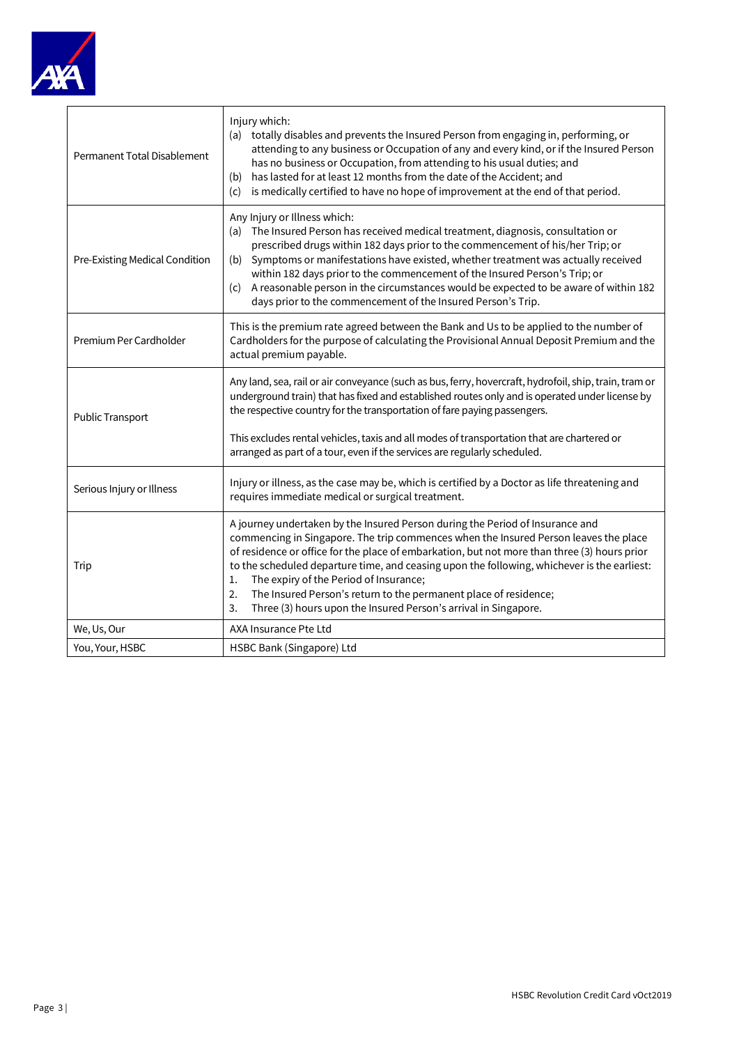

| Permanent Total Disablement    | Injury which:<br>(a) totally disables and prevents the Insured Person from engaging in, performing, or<br>attending to any business or Occupation of any and every kind, or if the Insured Person<br>has no business or Occupation, from attending to his usual duties; and<br>has lasted for at least 12 months from the date of the Accident; and<br>(b)<br>is medically certified to have no hope of improvement at the end of that period.<br>(c)                                                                                                                   |  |  |
|--------------------------------|-------------------------------------------------------------------------------------------------------------------------------------------------------------------------------------------------------------------------------------------------------------------------------------------------------------------------------------------------------------------------------------------------------------------------------------------------------------------------------------------------------------------------------------------------------------------------|--|--|
| Pre-Existing Medical Condition | Any Injury or Illness which:<br>(a) The Insured Person has received medical treatment, diagnosis, consultation or<br>prescribed drugs within 182 days prior to the commencement of his/her Trip; or<br>Symptoms or manifestations have existed, whether treatment was actually received<br>(b)<br>within 182 days prior to the commencement of the Insured Person's Trip; or<br>(c) A reasonable person in the circumstances would be expected to be aware of within 182<br>days prior to the commencement of the Insured Person's Trip.                                |  |  |
| Premium Per Cardholder         | This is the premium rate agreed between the Bank and Us to be applied to the number of<br>Cardholders for the purpose of calculating the Provisional Annual Deposit Premium and the<br>actual premium payable.                                                                                                                                                                                                                                                                                                                                                          |  |  |
| Public Transport               | Any land, sea, rail or air conveyance (such as bus, ferry, hovercraft, hydrofoil, ship, train, tram or<br>underground train) that has fixed and established routes only and is operated under license by<br>the respective country for the transportation of fare paying passengers.                                                                                                                                                                                                                                                                                    |  |  |
|                                | This excludes rental vehicles, taxis and all modes of transportation that are chartered or<br>arranged as part of a tour, even if the services are regularly scheduled.                                                                                                                                                                                                                                                                                                                                                                                                 |  |  |
| Serious Injury or Illness      | Injury or illness, as the case may be, which is certified by a Doctor as life threatening and<br>requires immediate medical or surgical treatment.                                                                                                                                                                                                                                                                                                                                                                                                                      |  |  |
| Trip                           | A journey undertaken by the Insured Person during the Period of Insurance and<br>commencing in Singapore. The trip commences when the Insured Person leaves the place<br>of residence or office for the place of embarkation, but not more than three (3) hours prior<br>to the scheduled departure time, and ceasing upon the following, whichever is the earliest:<br>The expiry of the Period of Insurance;<br>1.<br>The Insured Person's return to the permanent place of residence;<br>2.<br>3.<br>Three (3) hours upon the Insured Person's arrival in Singapore. |  |  |
| We, Us, Our                    | AXA Insurance Pte Ltd                                                                                                                                                                                                                                                                                                                                                                                                                                                                                                                                                   |  |  |
| You, Your, HSBC                | HSBC Bank (Singapore) Ltd                                                                                                                                                                                                                                                                                                                                                                                                                                                                                                                                               |  |  |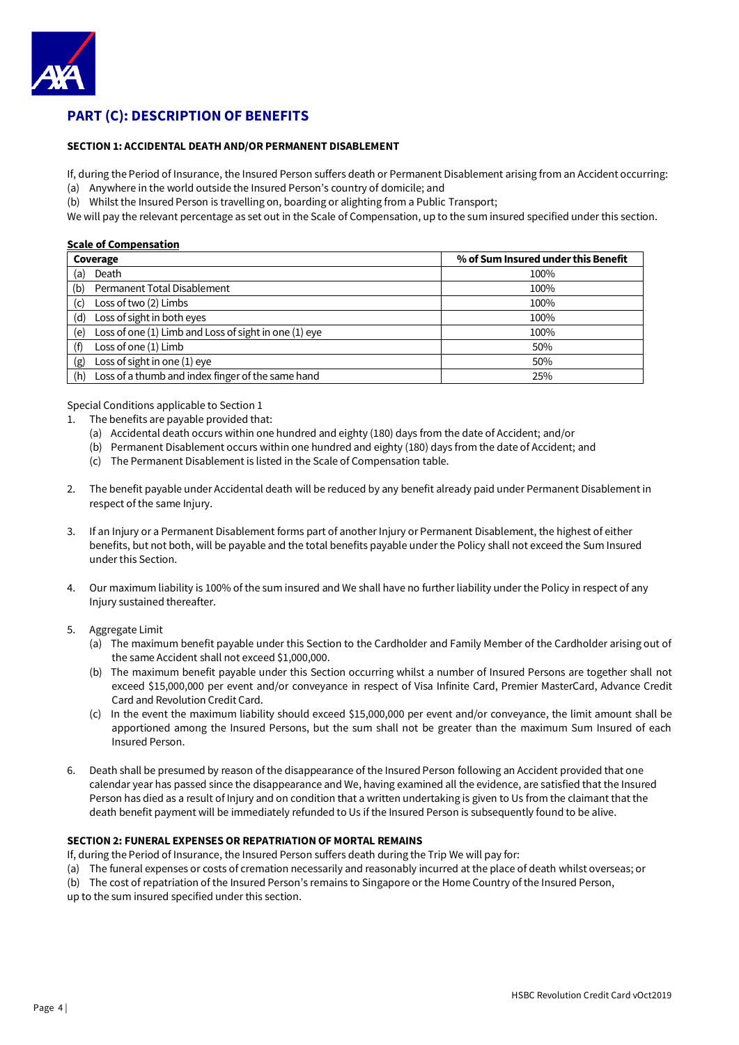

# **PART (C): DESCRIPTION OF BENEFITS**

### **SECTION 1: ACCIDENTAL DEATH AND/OR PERMANENT DISABLEMENT**

If, during the Period of Insurance, the Insured Person suffers death or Permanent Disablement arising from an Accident occurring: (a) Anywhere in the world outside the Insured Person's country of domicile; and

(b) Whilst the Insured Person is travelling on, boarding or alighting from a Public Transport;

We will pay the relevant percentage as set out in the Scale of Compensation, up to the sum insured specified under this section.

## **Scale of Compensation**

| Coverage                                                     | % of Sum Insured under this Benefit |
|--------------------------------------------------------------|-------------------------------------|
| Death<br>(a)                                                 | 100%                                |
| Permanent Total Disablement<br>(b)                           | 100%                                |
| Loss of two (2) Limbs<br>(c)                                 | 100%                                |
| Loss of sight in both eyes<br>(d)                            | 100%                                |
| Loss of one (1) Limb and Loss of sight in one (1) eye<br>(e) | 100%                                |
| Loss of one (1) Limb<br>(f)                                  | 50%                                 |
| Loss of sight in one (1) eye<br>(g)                          | 50%                                 |
| Loss of a thumb and index finger of the same hand<br>(h)     | 25%                                 |

Special Conditions applicable to Section 1

- 1. The benefits are payable provided that:
	- (a) Accidental death occurs within one hundred and eighty (180) days from the date of Accident; and/or
	- (b) Permanent Disablement occurs within one hundred and eighty (180) days from the date of Accident; and
	- (c) The Permanent Disablement is listed in the Scale of Compensation table.
- 2. The benefit payable under Accidental death will be reduced by any benefit already paid under Permanent Disablement in respect of the same Injury.
- 3. If an Injury or a Permanent Disablement forms part of another Injury or Permanent Disablement, the highest of either benefits, but not both, will be payable and the total benefits payable under the Policy shall not exceed the Sum Insured under this Section.
- 4. Our maximum liability is 100% of the sum insured and We shall have no further liability under the Policy in respect of any Injury sustained thereafter.
- 5. Aggregate Limit
	- (a) The maximum benefit payable under this Section to the Cardholder and Family Member of the Cardholder arising out of the same Accident shall not exceed \$1,000,000.
	- (b) The maximum benefit payable under this Section occurring whilst a number of Insured Persons are together shall not exceed \$15,000,000 per event and/or conveyance in respect of Visa Infinite Card, Premier MasterCard, Advance Credit Card and Revolution Credit Card.
	- (c) In the event the maximum liability should exceed \$15,000,000 per event and/or conveyance, the limit amount shall be apportioned among the Insured Persons, but the sum shall not be greater than the maximum Sum Insured of each Insured Person.
- 6. Death shall be presumed by reason of the disappearance of the Insured Person following an Accident provided that one calendar year has passed since the disappearance and We, having examined all the evidence, are satisfied that the Insured Person has died as a result of Injury and on condition that a written undertaking is given to Us from the claimant that the death benefit payment will be immediately refunded to Us if the Insured Person is subsequently found to be alive.

# **SECTION 2: FUNERAL EXPENSES OR REPATRIATION OF MORTAL REMAINS**

If, during the Period of Insurance, the Insured Person suffers death during the Trip We will pay for:

(a) The funeral expenses or costs of cremation necessarily and reasonably incurred at the place of death whilst overseas; or

(b) The cost of repatriation of the Insured Person's remains to Singapore or the Home Country of the Insured Person,

up to the sum insured specified under this section.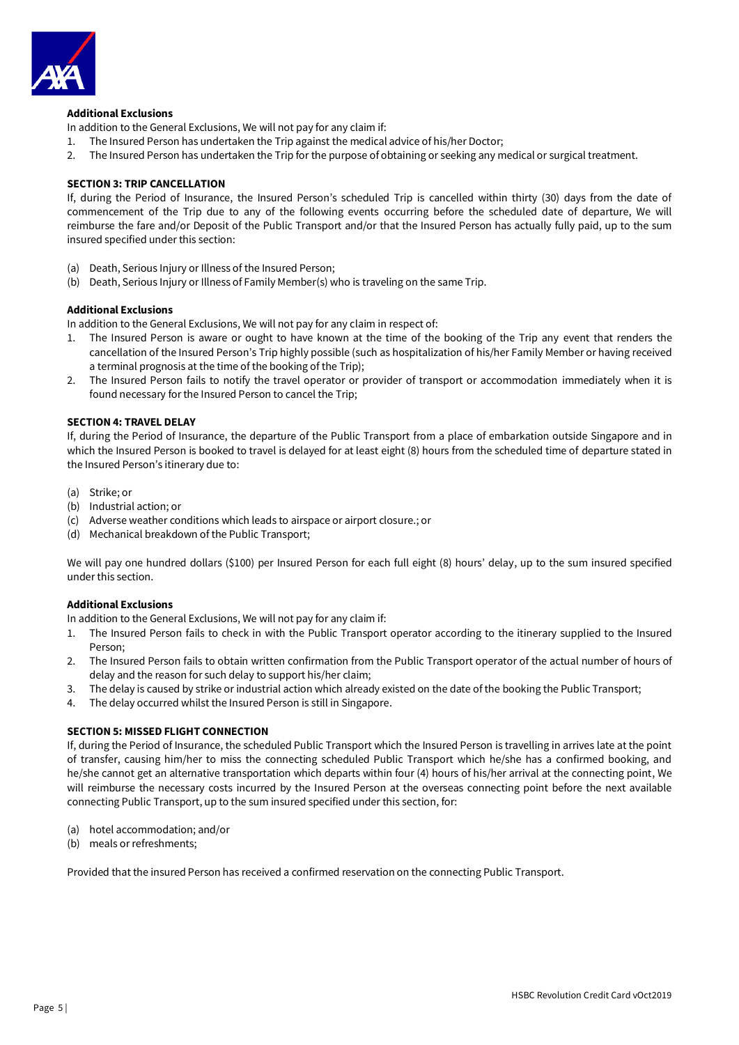

# **Additional Exclusions**

In addition to the General Exclusions, We will not pay for any claim if:

- 1. The Insured Person has undertaken the Trip against the medical advice of his/her Doctor;
- 2. The Insured Person has undertaken the Trip for the purpose of obtaining or seeking any medical or surgical treatment.

### **SECTION 3: TRIP CANCELLATION**

If, during the Period of Insurance, the Insured Person's scheduled Trip is cancelled within thirty (30) days from the date of commencement of the Trip due to any of the following events occurring before the scheduled date of departure, We will reimburse the fare and/or Deposit of the Public Transport and/or that the Insured Person has actually fully paid, up to the sum insured specified under this section:

- (a) Death, Serious Injury or Illness of the Insured Person;
- (b) Death, Serious Injury or Illness of Family Member(s) who is traveling on the same Trip.

### **Additional Exclusions**

In addition to the General Exclusions, We will not pay for any claim in respect of:

- 1. The Insured Person is aware or ought to have known at the time of the booking of the Trip any event that renders the cancellation of the Insured Person's Trip highly possible (such as hospitalization of his/her Family Member or having received a terminal prognosis at the time of the booking of the Trip);
- 2. The Insured Person fails to notify the travel operator or provider of transport or accommodation immediately when it is found necessary for the Insured Person to cancel the Trip;

### **SECTION 4: TRAVEL DELAY**

If, during the Period of Insurance, the departure of the Public Transport from a place of embarkation outside Singapore and in which the Insured Person is booked to travel is delayed for at least eight (8) hours from the scheduled time of departure stated in the Insured Person's itinerary due to:

- (a) Strike; or
- (b) Industrial action; or
- (c) Adverse weather conditions which leads to airspace or airport closure.; or
- (d) Mechanical breakdown of the Public Transport;

We will pay one hundred dollars (\$100) per Insured Person for each full eight (8) hours' delay, up to the sum insured specified under this section.

### **Additional Exclusions**

In addition to the General Exclusions, We will not pay for any claim if:

- 1. The Insured Person fails to check in with the Public Transport operator according to the itinerary supplied to the Insured Person;
- 2. The Insured Person fails to obtain written confirmation from the Public Transport operator of the actual number of hours of delay and the reason for such delay to support his/her claim;
- 3. The delay is caused by strike or industrial action which already existed on the date of the booking the Public Transport;
- 4. The delay occurred whilst the Insured Person is still in Singapore.

### **SECTION 5: MISSED FLIGHT CONNECTION**

If, during the Period of Insurance, the scheduled Public Transport which the Insured Person is travelling in arrives late at the point of transfer, causing him/her to miss the connecting scheduled Public Transport which he/she has a confirmed booking, and he/she cannot get an alternative transportation which departs within four (4) hours of his/her arrival at the connecting point, We will reimburse the necessary costs incurred by the Insured Person at the overseas connecting point before the next available connecting Public Transport, up to the sum insured specified under this section, for:

- (a) hotel accommodation; and/or
- (b) meals or refreshments;

Provided that the insured Person has received a confirmed reservation on the connecting Public Transport.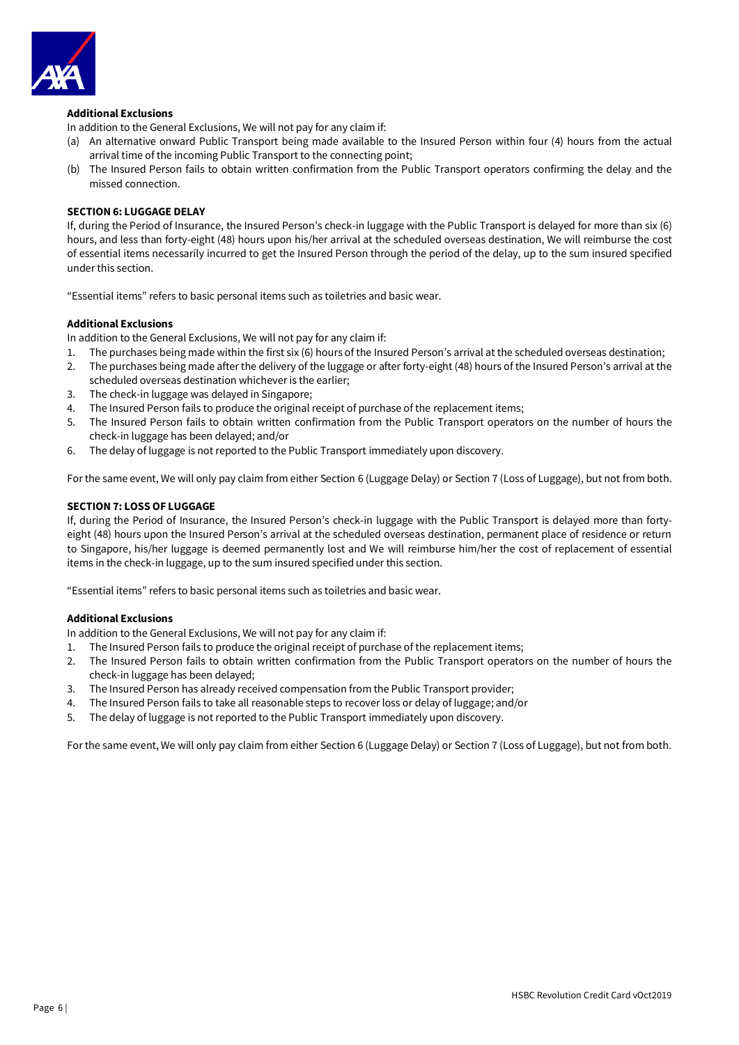

# **Additional Exclusions**

In addition to the General Exclusions, We will not pay for any claim if:

- (a) An alternative onward Public Transport being made available to the Insured Person within four (4) hours from the actual arrival time of the incoming Public Transport to the connecting point;
- (b) The Insured Person fails to obtain written confirmation from the Public Transport operators confirming the delay and the missed connection.

### **SECTION 6: LUGGAGE DELAY**

If, during the Period of Insurance, the Insured Person's check-in luggage with the Public Transport is delayed for more than six (6) hours, and less than forty-eight (48) hours upon his/her arrival at the scheduled overseas destination, We will reimburse the cost of essential items necessarily incurred to get the Insured Person through the period of the delay, up to the sum insured specified under this section.

"Essential items" refers to basic personal items such as toiletries and basic wear.

### **Additional Exclusions**

In addition to the General Exclusions, We will not pay for any claim if:

- 1. The purchases being made within the first six (6) hours of the Insured Person's arrival at the scheduled overseas destination;
- 2. The purchases being made after the delivery of the luggage or after forty-eight (48) hours of the Insured Person's arrival at the scheduled overseas destination whichever is the earlier;
- 3. The check-in luggage was delayed in Singapore;
- 4. The Insured Person fails to produce the original receipt of purchase of the replacement items;
- 5. The Insured Person fails to obtain written confirmation from the Public Transport operators on the number of hours the check-in luggage has been delayed; and/or
- 6. The delay of luggage is not reported to the Public Transport immediately upon discovery.

For the same event, We will only pay claim from either Section 6 (Luggage Delay) or Section 7 (Loss of Luggage), but not from both.

### **SECTION 7: LOSS OF LUGGAGE**

If, during the Period of Insurance, the Insured Person's check-in luggage with the Public Transport is delayed more than fortyeight (48) hours upon the Insured Person's arrival at the scheduled overseas destination, permanent place of residence or return to Singapore, his/her luggage is deemed permanently lost and We will reimburse him/her the cost of replacement of essential items in the check-in luggage, up to the sum insured specified under this section.

"Essential items" refers to basic personal items such as toiletries and basic wear.

# **Additional Exclusions**

In addition to the General Exclusions, We will not pay for any claim if:

- 1. The Insured Person fails to produce the original receipt of purchase of the replacement items;
- 2. The Insured Person fails to obtain written confirmation from the Public Transport operators on the number of hours the check-in luggage has been delayed;
- 3. The Insured Person has already received compensation from the Public Transport provider;
- 4. The Insured Person fails to take all reasonable steps to recover loss or delay of luggage; and/or
- 5. The delay of luggage is not reported to the Public Transport immediately upon discovery.

For the same event, We will only pay claim from either Section 6 (Luggage Delay) or Section 7 (Loss of Luggage), but not from both.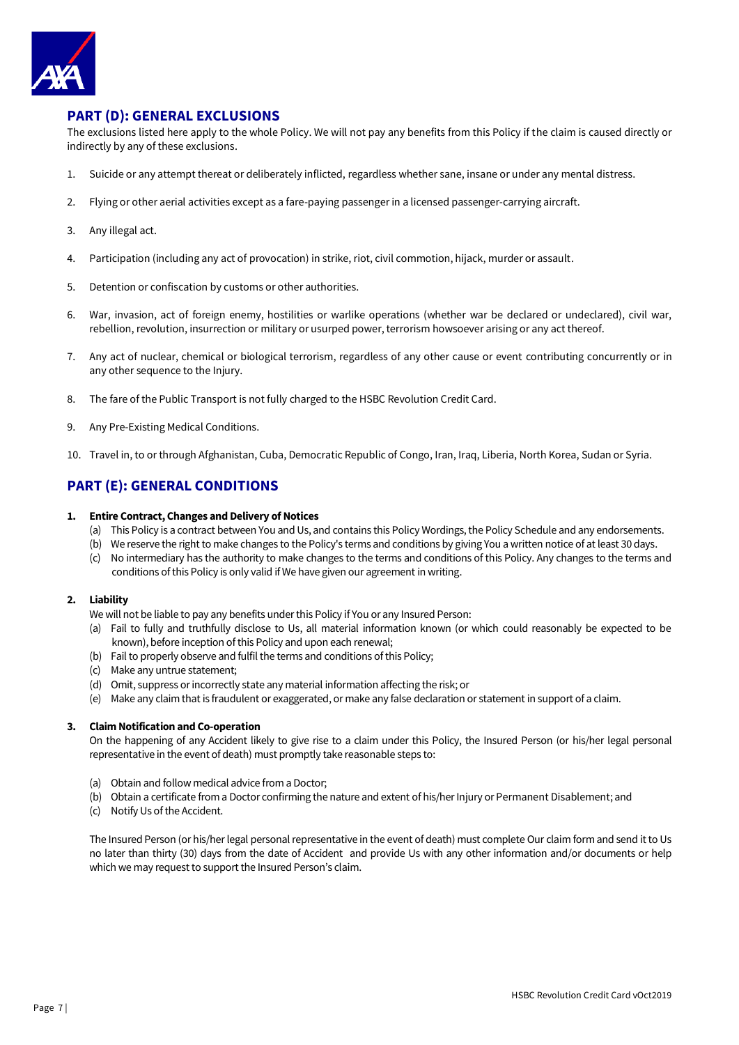

# **PART (D): GENERAL EXCLUSIONS**

The exclusions listed here apply to the whole Policy. We will not pay any benefits from this Policy if the claim is caused directly or indirectly by any of these exclusions.

- 1. Suicide or any attempt thereat or deliberately inflicted, regardless whether sane, insane or under any mental distress.
- 2. Flying or other aerial activities except as a fare-paying passenger in a licensed passenger-carrying aircraft.
- 3. Any illegal act.
- 4. Participation (including any act of provocation) in strike, riot, civil commotion, hijack, murder or assault.
- 5. Detention or confiscation by customs or other authorities.
- 6. War, invasion, act of foreign enemy, hostilities or warlike operations (whether war be declared or undeclared), civil war, rebellion, revolution, insurrection or military or usurped power, terrorism howsoever arising or any act thereof.
- 7. Any act of nuclear, chemical or biological terrorism, regardless of any other cause or event contributing concurrently or in any other sequence to the Injury.
- 8. The fare of the Public Transport is not fully charged to the HSBC Revolution Credit Card.
- 9. Any Pre-Existing Medical Conditions.
- 10. Travel in, to or through Afghanistan, Cuba, Democratic Republic of Congo, Iran, Iraq, Liberia, North Korea, Sudan or Syria.

# **PART (E): GENERAL CONDITIONS**

### **1. Entire Contract, Changes and Delivery of Notices**

- (a) This Policy is a contract between You and Us, and contains this Policy Wordings, the Policy Schedule and any endorsements.
- (b) We reserve the right to make changes to the Policy's terms and conditions by giving You a written notice of at least 30 days.
- (c) No intermediary has the authority to make changes to the terms and conditions of this Policy. Any changes to the terms and conditions of this Policy is only valid if We have given our agreement in writing.

## **2. Liability**

We will not be liable to pay any benefits under this Policy if You or any Insured Person:

- (a) Fail to fully and truthfully disclose to Us, all material information known (or which could reasonably be expected to be known), before inception of this Policy and upon each renewal;
- (b) Fail to properly observe and fulfil the terms and conditions of this Policy;
- (c) Make any untrue statement;
- (d) Omit, suppress or incorrectly state any material information affecting the risk; or
- (e) Make any claim that is fraudulent or exaggerated, or make any false declaration or statement in support of a claim.

### **3. Claim Notification and Co-operation**

On the happening of any Accident likely to give rise to a claim under this Policy, the Insured Person (or his/her legal personal representative in the event of death) must promptly take reasonable steps to:

- (a) Obtain and follow medical advice from a Doctor;
- (b) Obtain a certificate from a Doctor confirming the nature and extent of his/her Injury or Permanent Disablement: and
- (c) Notify Us of the Accident.

The Insured Person (or his/her legal personal representative in the event of death) must complete Our claim form and send it to Us no later than thirty (30) days from the date of Accident and provide Us with any other information and/or documents or help which we may request to support the Insured Person's claim.